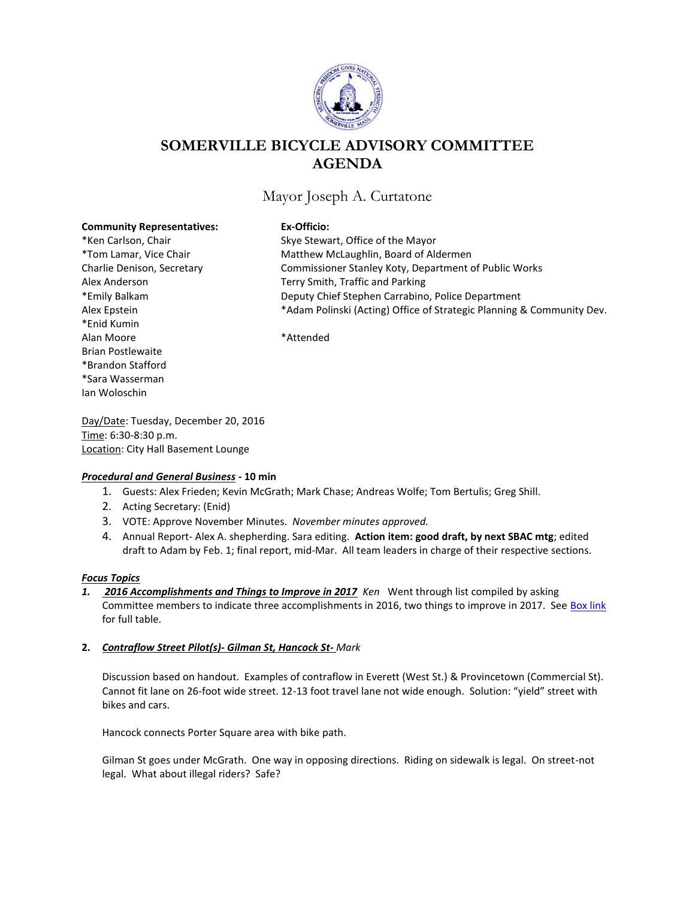

# **SOMERVILLE BICYCLE ADVISORY COMMITTEE AGENDA**

# Mayor Joseph A. Curtatone

#### **Community Representatives: Ex-Officio:**

\*Enid Kumin Alan Moore \*Attended Brian Postlewaite \*Brandon Stafford \*Sara Wasserman Ian Woloschin

\*Ken Carlson, Chair **Skye Stewart, Office of the Mayor** \*Tom Lamar, Vice Chair Matthew McLaughlin, Board of Aldermen Charlie Denison, Secretary Commissioner Stanley Koty, Department of Public Works Alex Anderson Terry Smith, Traffic and Parking \*Emily Balkam Deputy Chief Stephen Carrabino, Police Department Alex Epstein **\***Adam Polinski (Acting) Office of Strategic Planning & Community Dev.

Day/Date: Tuesday, December 20, 2016 Time: 6:30-8:30 p.m. Location: City Hall Basement Lounge

### *Procedural and General Business -* **10 min**

- 1. Guests: Alex Frieden; Kevin McGrath; Mark Chase; Andreas Wolfe; Tom Bertulis; Greg Shill.
- 2. Acting Secretary: (Enid)
- 3. VOTE: Approve November Minutes. *November minutes approved.*
- 4. Annual Report- Alex A. shepherding. Sara editing. **Action item: good draft, by next SBAC mtg**; edited draft to Adam by Feb. 1; final report, mid-Mar. All team leaders in charge of their respective sections.

### *Focus Topics*

*1. 2016 Accomplishments and Things to Improve in 2017 Ken*Went through list compiled by asking Committee members to indicate three accomplishments in 2016, two things to improve in 2017. See [Box link](https://app.box.com/s/mcembhdg1im5d3pt7acn8er2nxnbw7p8) for full table.

### **2.** *Contraflow Street Pilot(s)- Gilman St, Hancock St- Mark*

Discussion based on handout. Examples of contraflow in Everett (West St.) & Provincetown (Commercial St). Cannot fit lane on 26-foot wide street. 12-13 foot travel lane not wide enough. Solution: "yield" street with bikes and cars.

Hancock connects Porter Square area with bike path.

Gilman St goes under McGrath. One way in opposing directions. Riding on sidewalk is legal. On street-not legal. What about illegal riders? Safe?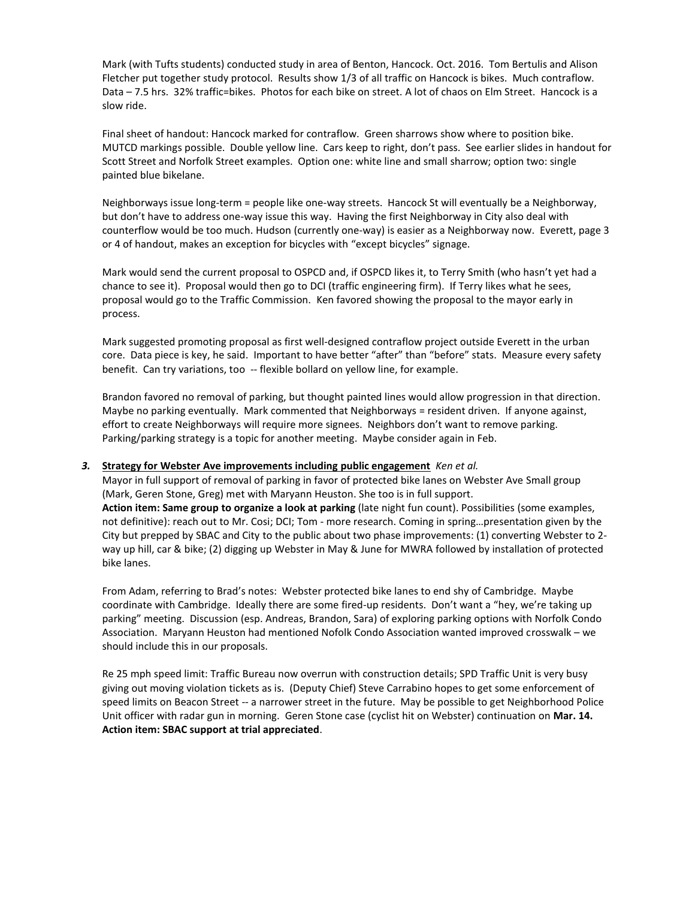Mark (with Tufts students) conducted study in area of Benton, Hancock. Oct. 2016. Tom Bertulis and Alison Fletcher put together study protocol. Results show 1/3 of all traffic on Hancock is bikes. Much contraflow. Data – 7.5 hrs. 32% traffic=bikes. Photos for each bike on street. A lot of chaos on Elm Street. Hancock is a slow ride.

Final sheet of handout: Hancock marked for contraflow. Green sharrows show where to position bike. MUTCD markings possible. Double yellow line. Cars keep to right, don't pass. See earlier slides in handout for Scott Street and Norfolk Street examples. Option one: white line and small sharrow; option two: single painted blue bikelane.

Neighborways issue long-term = people like one-way streets. Hancock St will eventually be a Neighborway, but don't have to address one-way issue this way. Having the first Neighborway in City also deal with counterflow would be too much. Hudson (currently one-way) is easier as a Neighborway now. Everett, page 3 or 4 of handout, makes an exception for bicycles with "except bicycles" signage.

Mark would send the current proposal to OSPCD and, if OSPCD likes it, to Terry Smith (who hasn't yet had a chance to see it). Proposal would then go to DCI (traffic engineering firm). If Terry likes what he sees, proposal would go to the Traffic Commission. Ken favored showing the proposal to the mayor early in process.

Mark suggested promoting proposal as first well-designed contraflow project outside Everett in the urban core. Data piece is key, he said. Important to have better "after" than "before" stats. Measure every safety benefit. Can try variations, too -- flexible bollard on yellow line, for example.

Brandon favored no removal of parking, but thought painted lines would allow progression in that direction. Maybe no parking eventually. Mark commented that Neighborways = resident driven. If anyone against, effort to create Neighborways will require more signees. Neighbors don't want to remove parking. Parking/parking strategy is a topic for another meeting. Maybe consider again in Feb.

## *3.* **Strategy for Webster Ave improvements including public engagement** *Ken et al.*

Mayor in full support of removal of parking in favor of protected bike lanes on Webster Ave Small group (Mark, Geren Stone, Greg) met with Maryann Heuston. She too is in full support. **Action item: Same group to organize a look at parking** (late night fun count). Possibilities (some examples, not definitive): reach out to Mr. Cosi; DCI; Tom - more research. Coming in spring…presentation given by the City but prepped by SBAC and City to the public about two phase improvements: (1) converting Webster to 2 way up hill, car & bike; (2) digging up Webster in May & June for MWRA followed by installation of protected bike lanes.

From Adam, referring to Brad's notes: Webster protected bike lanes to end shy of Cambridge. Maybe coordinate with Cambridge. Ideally there are some fired-up residents. Don't want a "hey, we're taking up parking" meeting. Discussion (esp. Andreas, Brandon, Sara) of exploring parking options with Norfolk Condo Association. Maryann Heuston had mentioned Nofolk Condo Association wanted improved crosswalk – we should include this in our proposals.

Re 25 mph speed limit: Traffic Bureau now overrun with construction details; SPD Traffic Unit is very busy giving out moving violation tickets as is. (Deputy Chief) Steve Carrabino hopes to get some enforcement of speed limits on Beacon Street -- a narrower street in the future. May be possible to get Neighborhood Police Unit officer with radar gun in morning. Geren Stone case (cyclist hit on Webster) continuation on **Mar. 14. Action item: SBAC support at trial appreciated**.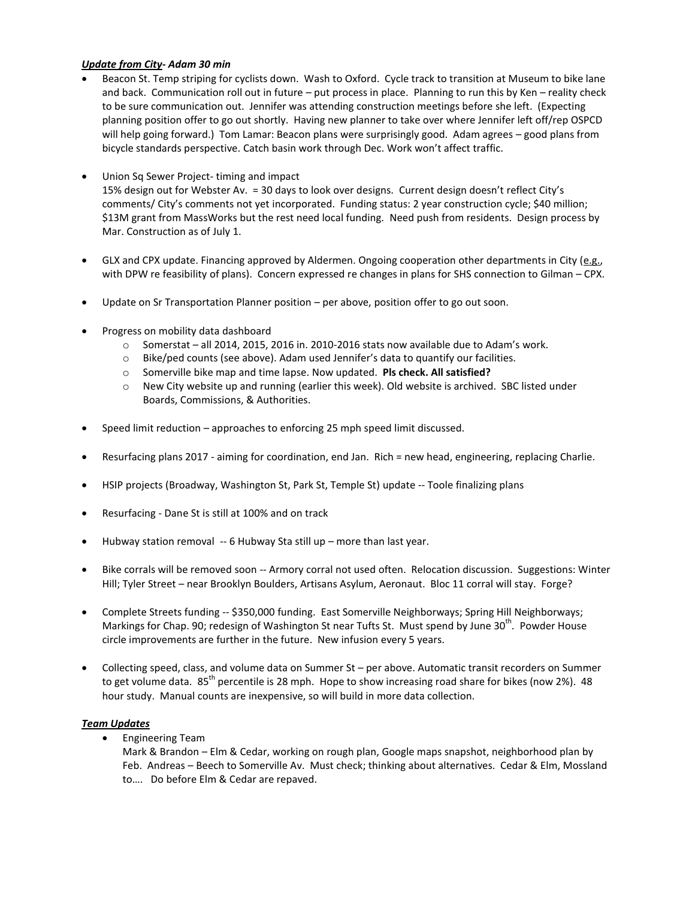### *Update from City- Adam 30 min*

- Beacon St. Temp striping for cyclists down. Wash to Oxford. Cycle track to transition at Museum to bike lane and back. Communication roll out in future – put process in place. Planning to run this by Ken – reality check to be sure communication out. Jennifer was attending construction meetings before she left. (Expecting planning position offer to go out shortly. Having new planner to take over where Jennifer left off/rep OSPCD will help going forward.) Tom Lamar: Beacon plans were surprisingly good. Adam agrees – good plans from bicycle standards perspective. Catch basin work through Dec. Work won't affect traffic.
- Union Sq Sewer Project- timing and impact 15% design out for Webster Av. = 30 days to look over designs. Current design doesn't reflect City's comments/ City's comments not yet incorporated. Funding status: 2 year construction cycle; \$40 million; \$13M grant from MassWorks but the rest need local funding. Need push from residents. Design process by Mar. Construction as of July 1.
- GLX and CPX update. Financing approved by Aldermen. Ongoing cooperation other departments in City (e.g., with DPW re feasibility of plans). Concern expressed re changes in plans for SHS connection to Gilman – CPX.
- Update on Sr Transportation Planner position per above, position offer to go out soon.
- Progress on mobility data dashboard
	- o Somerstat all 2014, 2015, 2016 in. 2010-2016 stats now available due to Adam's work.
	- o Bike/ped counts (see above). Adam used Jennifer's data to quantify our facilities.
	- o Somerville bike map and time lapse. Now updated. **Pls check. All satisfied?**
	- o New City website up and running (earlier this week). Old website is archived. SBC listed under Boards, Commissions, & Authorities.
- Speed limit reduction approaches to enforcing 25 mph speed limit discussed.
- Resurfacing plans 2017 aiming for coordination, end Jan. Rich = new head, engineering, replacing Charlie.
- HSIP projects (Broadway, Washington St, Park St, Temple St) update -- Toole finalizing plans
- Resurfacing Dane St is still at 100% and on track
- Hubway station removal -- 6 Hubway Sta still up more than last year.
- Bike corrals will be removed soon -- Armory corral not used often. Relocation discussion. Suggestions: Winter Hill; Tyler Street – near Brooklyn Boulders, Artisans Asylum, Aeronaut. Bloc 11 corral will stay. Forge?
- Complete Streets funding -- \$350,000 funding. East Somerville Neighborways; Spring Hill Neighborways; Markings for Chap. 90; redesign of Washington St near Tufts St. Must spend by June 30<sup>th</sup>. Powder House circle improvements are further in the future. New infusion every 5 years.
- Collecting speed, class, and volume data on Summer St per above. Automatic transit recorders on Summer to get volume data. 85<sup>th</sup> percentile is 28 mph. Hope to show increasing road share for bikes (now 2%). 48 hour study. Manual counts are inexpensive, so will build in more data collection.

#### *Team Updates*

**•** Engineering Team

Mark & Brandon – Elm & Cedar, working on rough plan, Google maps snapshot, neighborhood plan by Feb. Andreas – Beech to Somerville Av. Must check; thinking about alternatives. Cedar & Elm, Mossland to…. Do before Elm & Cedar are repaved.